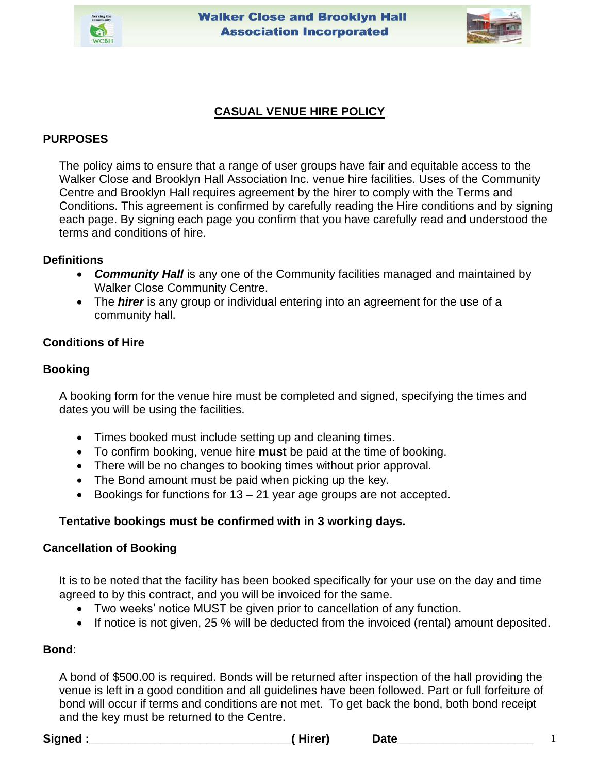



# **CASUAL VENUE HIRE POLICY**

## **PURPOSES**

The policy aims to ensure that a range of user groups have fair and equitable access to the Walker Close and Brooklyn Hall Association Inc. venue hire facilities. Uses of the Community Centre and Brooklyn Hall requires agreement by the hirer to comply with the Terms and Conditions. This agreement is confirmed by carefully reading the Hire conditions and by signing each page. By signing each page you confirm that you have carefully read and understood the terms and conditions of hire.

### **Definitions**

- *Community Hall* is any one of the Community facilities managed and maintained by Walker Close Community Centre.
- The *hirer* is any group or individual entering into an agreement for the use of a community hall.

## **Conditions of Hire**

### **Booking**

A booking form for the venue hire must be completed and signed, specifying the times and dates you will be using the facilities.

- Times booked must include setting up and cleaning times.
- To confirm booking, venue hire **must** be paid at the time of booking.
- There will be no changes to booking times without prior approval.
- The Bond amount must be paid when picking up the key.
- Bookings for functions for 13 21 year age groups are not accepted.

## **Tentative bookings must be confirmed with in 3 working days.**

### **Cancellation of Booking**

It is to be noted that the facility has been booked specifically for your use on the day and time agreed to by this contract, and you will be invoiced for the same.

- Two weeks' notice MUST be given prior to cancellation of any function.
- If notice is not given, 25 % will be deducted from the invoiced (rental) amount deposited.

### **Bond**:

A bond of \$500.00 is required. Bonds will be returned after inspection of the hall providing the venue is left in a good condition and all guidelines have been followed. Part or full forfeiture of bond will occur if terms and conditions are not met. To get back the bond, both bond receipt and the key must be returned to the Centre.

**Signed :\_\_\_\_\_\_\_\_\_\_\_\_\_\_\_\_\_\_\_\_\_\_\_\_\_\_\_\_\_\_\_( Hirer) Date\_\_\_\_\_\_\_\_\_\_\_\_\_\_\_\_\_\_\_\_\_** 1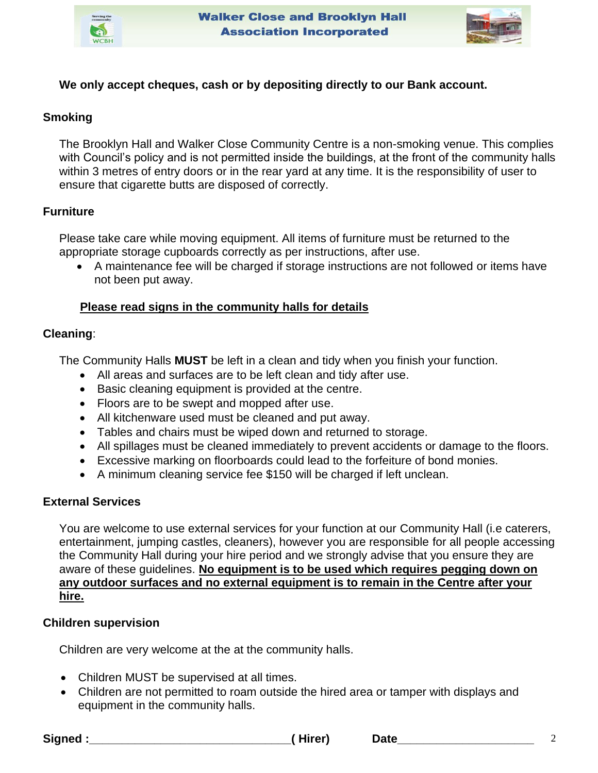



## **We only accept cheques, cash or by depositing directly to our Bank account.**

### **Smoking**

The Brooklyn Hall and Walker Close Community Centre is a non-smoking venue. This complies with Council's policy and is not permitted inside the buildings, at the front of the community halls within 3 metres of entry doors or in the rear yard at any time. It is the responsibility of user to ensure that cigarette butts are disposed of correctly.

## **Furniture**

Please take care while moving equipment. All items of furniture must be returned to the appropriate storage cupboards correctly as per instructions, after use.

• A maintenance fee will be charged if storage instructions are not followed or items have not been put away.

## **Please read signs in the community halls for details**

### **Cleaning**:

The Community Halls **MUST** be left in a clean and tidy when you finish your function.

- All areas and surfaces are to be left clean and tidy after use.
- Basic cleaning equipment is provided at the centre.
- Floors are to be swept and mopped after use.
- All kitchenware used must be cleaned and put away.
- Tables and chairs must be wiped down and returned to storage.
- All spillages must be cleaned immediately to prevent accidents or damage to the floors.
- Excessive marking on floorboards could lead to the forfeiture of bond monies.
- A minimum cleaning service fee \$150 will be charged if left unclean.

## **External Services**

You are welcome to use external services for your function at our Community Hall (i.e caterers, entertainment, jumping castles, cleaners), however you are responsible for all people accessing the Community Hall during your hire period and we strongly advise that you ensure they are aware of these guidelines. **No equipment is to be used which requires pegging down on any outdoor surfaces and no external equipment is to remain in the Centre after your hire.** 

## **Children supervision**

Children are very welcome at the at the community halls.

- Children MUST be supervised at all times.
- Children are not permitted to roam outside the hired area or tamper with displays and equipment in the community halls.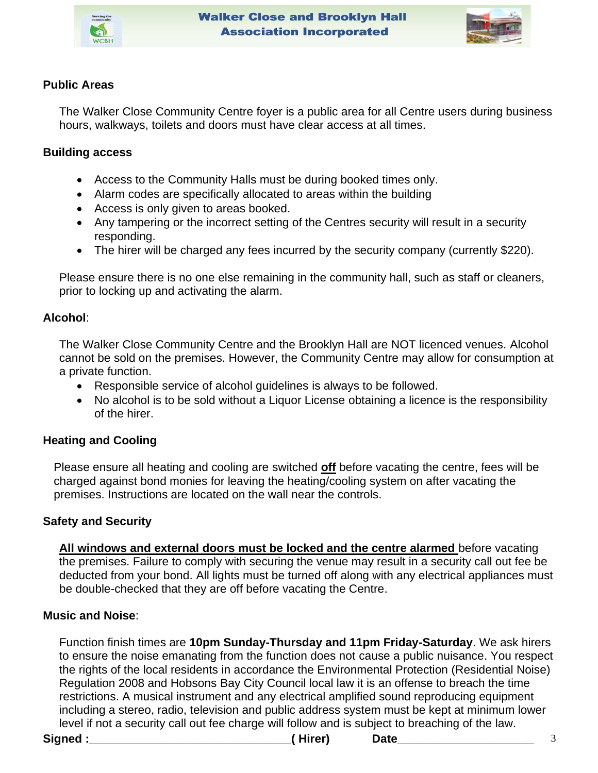



## **Public Areas**

The Walker Close Community Centre foyer is a public area for all Centre users during business hours, walkways, toilets and doors must have clear access at all times.

## **Building access**

- Access to the Community Halls must be during booked times only.
- Alarm codes are specifically allocated to areas within the building
- Access is only given to areas booked.
- Any tampering or the incorrect setting of the Centres security will result in a security responding.
- The hirer will be charged any fees incurred by the security company (currently \$220).

Please ensure there is no one else remaining in the community hall, such as staff or cleaners, prior to locking up and activating the alarm.

## **Alcohol**:

The Walker Close Community Centre and the Brooklyn Hall are NOT licenced venues. Alcohol cannot be sold on the premises. However, the Community Centre may allow for consumption at a private function.

- Responsible service of alcohol guidelines is always to be followed.
- No alcohol is to be sold without a Liquor License obtaining a licence is the responsibility of the hirer.

# **Heating and Cooling**

Please ensure all heating and cooling are switched **off** before vacating the centre, fees will be charged against bond monies for leaving the heating/cooling system on after vacating the premises. Instructions are located on the wall near the controls.

## **Safety and Security**

**All windows and external doors must be locked and the centre alarmed** before vacating the premises. Failure to comply with securing the venue may result in a security call out fee be deducted from your bond. All lights must be turned off along with any electrical appliances must be double-checked that they are off before vacating the Centre.

## **Music and Noise**:

Function finish times are **10pm Sunday-Thursday and 11pm Friday-Saturday**. We ask hirers to ensure the noise emanating from the function does not cause a public nuisance. You respect the rights of the local residents in accordance the Environmental Protection (Residential Noise) Regulation 2008 and Hobsons Bay City Council local law it is an offense to breach the time restrictions. A musical instrument and any electrical amplified sound reproducing equipment including a stereo, radio, television and public address system must be kept at minimum lower level if not a security call out fee charge will follow and is subject to breaching of the law.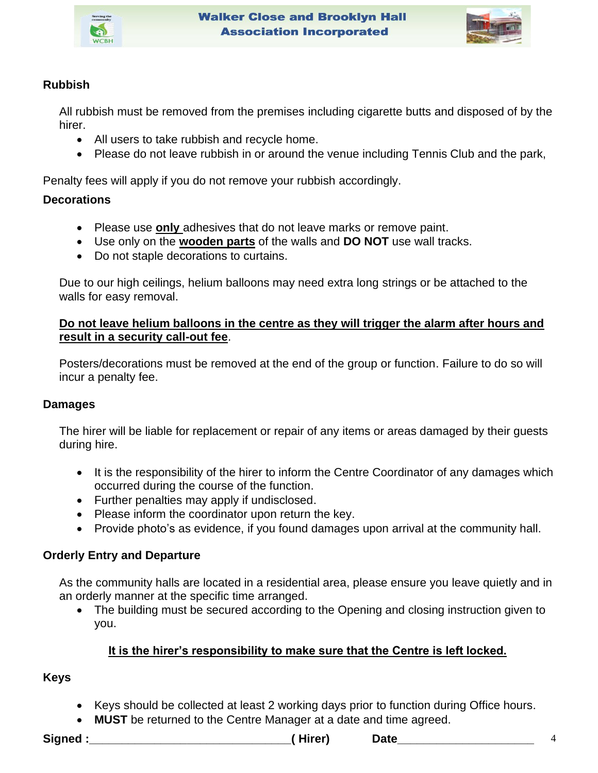



# **Rubbish**

All rubbish must be removed from the premises including cigarette butts and disposed of by the hirer.

- All users to take rubbish and recycle home.
- Please do not leave rubbish in or around the venue including Tennis Club and the park,

Penalty fees will apply if you do not remove your rubbish accordingly.

## **Decorations**

- Please use **only** adhesives that do not leave marks or remove paint.
- Use only on the **wooden parts** of the walls and **DO NOT** use wall tracks.
- Do not staple decorations to curtains.

Due to our high ceilings, helium balloons may need extra long strings or be attached to the walls for easy removal.

## **Do not leave helium balloons in the centre as they will trigger the alarm after hours and result in a security call-out fee**.

Posters/decorations must be removed at the end of the group or function. Failure to do so will incur a penalty fee.

## **Damages**

The hirer will be liable for replacement or repair of any items or areas damaged by their guests during hire.

- It is the responsibility of the hirer to inform the Centre Coordinator of any damages which occurred during the course of the function.
- Further penalties may apply if undisclosed.
- Please inform the coordinator upon return the key.
- Provide photo's as evidence, if you found damages upon arrival at the community hall.

# **Orderly Entry and Departure**

As the community halls are located in a residential area, please ensure you leave quietly and in an orderly manner at the specific time arranged.

• The building must be secured according to the Opening and closing instruction given to you.

# **It is the hirer's responsibility to make sure that the Centre is left locked.**

# **Keys**

- Keys should be collected at least 2 working days prior to function during Office hours.
- **MUST** be returned to the Centre Manager at a date and time agreed.